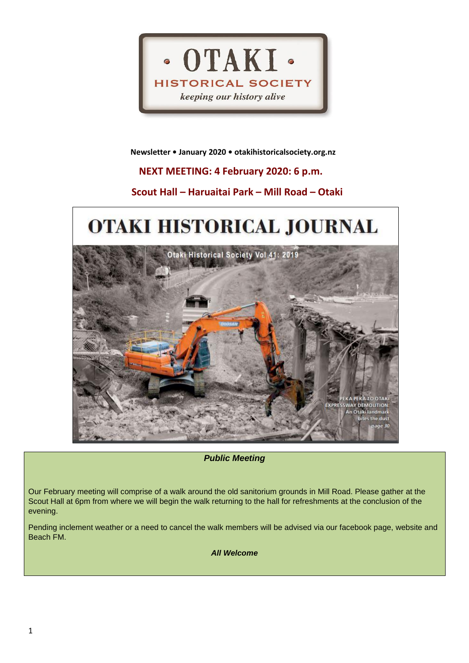

 **Newsletter • January 2020 • otakihistoricalsociety.org.nz**

# **NEXT MEETING: 4 February 2020: 6 p.m.**

## **Scout Hall – Haruaitai Park – Mill Road – Otaki**

# OTAKI HISTORICAL JOURNAL Otaki Historical Society Vol 41: 2019

*Public Meeting*

**VAY DEMOLITION:** An Otaki landmark bites the dust

Our February meeting will comprise of a walk around the old sanitorium grounds in Mill Road. Please gather at the Scout Hall at 6pm from where we will begin the walk returning to the hall for refreshments at the conclusion of the evening.

Pending inclement weather or a need to cancel the walk members will be advised via our facebook page, website and Beach FM.

*All Welcome*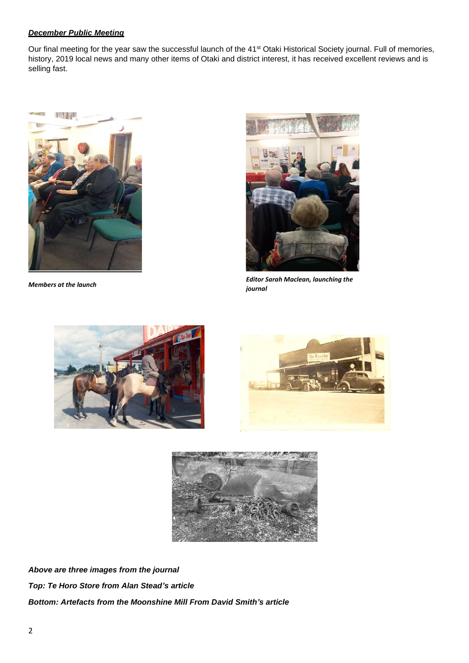#### *December Public Meeting*

Our final meeting for the year saw the successful launch of the 41<sup>st</sup> Otaki Historical Society journal. Full of memories, history, 2019 local news and many other items of Otaki and district interest, it has received excellent reviews and is selling fast.



*Members at the launch*



*Editor Sarah Maclean, launching the journal*







*Above are three images from the journal Top: Te Horo Store from Alan Stead's article Bottom: Artefacts from the Moonshine Mill From David Smith's article*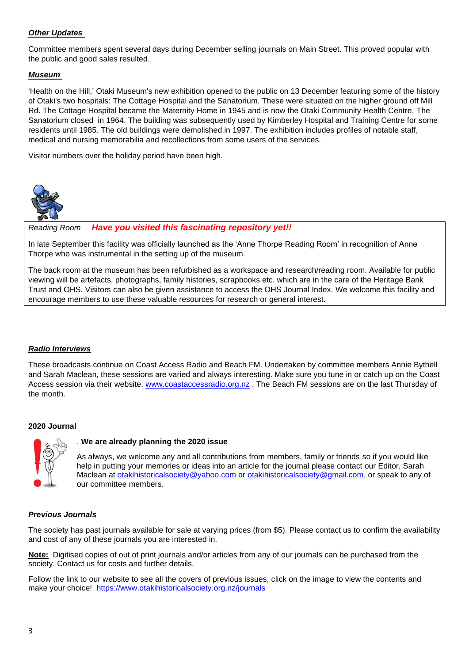## *Other Updates*

Committee members spent several days during December selling journals on Main Street. This proved popular with the public and good sales resulted.

### *Museum*

'Health on the Hill,' Otaki Museum's new exhibition opened to the public on 13 December featuring some of the history of Otaki's two hospitals: The Cottage Hospital and the Sanatorium. These were situated on the higher ground off Mill Rd. The Cottage Hospital became the Maternity Home in 1945 and is now the Otaki Community Health Centre. The Sanatorium closed in 1964. The building was subsequently used by Kimberley Hospital and Training Centre for some residents until 1985. The old buildings were demolished in 1997. The exhibition includes profiles of notable staff, medical and nursing memorabilia and recollections from some users of the services.

Visitor numbers over the holiday period have been high.



*Reading Room Have you visited this fascinating repository yet!!*

In late September this facility was officially launched as the 'Anne Thorpe Reading Room' in recognition of Anne Thorpe who was instrumental in the setting up of the museum*.* 

The back room at the museum has been refurbished as a workspace and research/reading room. Available for public viewing will be artefacts, photographs, family histories, scrapbooks etc. which are in the care of the Heritage Bank Trust and OHS. Visitors can also be given assistance to access the OHS Journal Index. We welcome this facility and encourage members to use these valuable resources for research or general interest.

#### *Radio Interviews*

These broadcasts continue on Coast Access Radio and Beach FM. Undertaken by committee members Annie Bythell and Sarah Maclean, these sessions are varied and always interesting. Make sure you tune in or catch up on the Coast Access session via their website. [www.coastaccessradio.org.nz](http://www.coastaccessradio.org.nz/) . The Beach FM sessions are on the last Thursday of the month.

#### **2020 Journal**



#### . **We are already planning the 2020 issue**

As always, we welcome any and all contributions from members, family or friends so if you would like help in putting your memories or ideas into an article for the journal please contact our Editor, Sarah Maclean at [otakihistoricalsociety@yahoo.com](mailto:otakihistoricalsociety@yahoo.com) or [otakihistoricalsociety@gmail.com,](mailto:otakihistoricalsociety@gmail.com) or speak to any of our committee members.

#### *Previous Journals*

The society has past journals available for sale at varying prices (from \$5). Please contact us to confirm the availability and cost of any of these journals you are interested in.

**Note:** Digitised copies of out of print journals and/or articles from any of our journals can be purchased from the society. Contact us for costs and further details.

Follow the link to our website to see all the covers of previous issues, click on the image to view the contents and make your choice! <https://www.otakihistoricalsociety.org.nz/journals>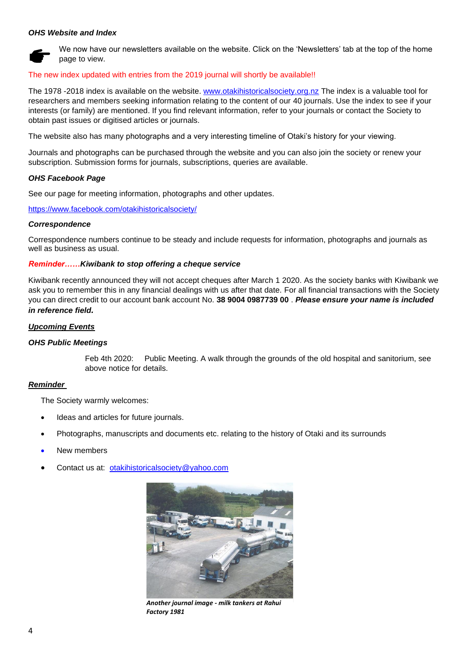#### *OHS Website and Index*



We now have our newsletters available on the website. Click on the 'Newsletters' tab at the top of the home page to view.

#### The new index updated with entries from the 2019 journal will shortly be available!!

The 1978 -2018 index is available on the website. [www.otakihistoricalsociety.org.nz](http://www.otakihistoricalsociety.org.nz/) The index is a valuable tool for researchers and members seeking information relating to the content of our 40 journals. Use the index to see if your interests (or family) are mentioned. If you find relevant information, refer to your journals or contact the Society to obtain past issues or digitised articles or journals.

The website also has many photographs and a very interesting timeline of Otaki's history for your viewing.

Journals and photographs can be purchased through the website and you can also join the society or renew your subscription. Submission forms for journals, subscriptions, queries are available.

#### *OHS Facebook Page*

See our page for meeting information, photographs and other updates.

<https://www.facebook.com/otakihistoricalsociety/>

#### *Correspondence*

Correspondence numbers continue to be steady and include requests for information, photographs and journals as well as business as usual.

#### *Reminder……Kiwibank to stop offering a cheque service*

Kiwibank recently announced they will not accept cheques after March 1 2020. As the society banks with Kiwibank we ask you to remember this in any financial dealings with us after that date. For all financial transactions with the Society you can direct credit to our account bank account No. **38 9004 0987739 00** . *Please ensure your name is included in reference field.*

#### *Upcoming Events*

#### *OHS Public Meetings*

Feb 4th 2020: Public Meeting. A walk through the grounds of the old hospital and sanitorium, see above notice for details.

#### *Reminder*

The Society warmly welcomes:

- Ideas and articles for future journals.
- Photographs, manuscripts and documents etc. relating to the history of Otaki and its surrounds
- New members
- Contact us at: [otakihistoricalsociety@yahoo.com](mailto:otakihistoricalsociety@yahoo.com)



*Another journal image - milk tankers at Rahui Factory 1981*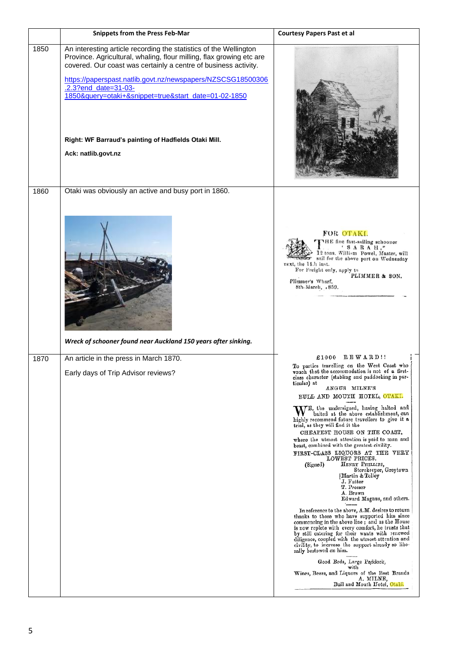|      | <b>Snippets from the Press Feb-Mar</b>                                                                                                                                                                                                                                                                                                                                                                                                      | <b>Courtesy Papers Past et al</b>                                                                                                                                                                                                                                                                                                                                                                                                                                                                                                                                                                                                                                                                                                                                                                                                                                                                                                                                                                                                                                                                                                                                                                                                                                                             |  |
|------|---------------------------------------------------------------------------------------------------------------------------------------------------------------------------------------------------------------------------------------------------------------------------------------------------------------------------------------------------------------------------------------------------------------------------------------------|-----------------------------------------------------------------------------------------------------------------------------------------------------------------------------------------------------------------------------------------------------------------------------------------------------------------------------------------------------------------------------------------------------------------------------------------------------------------------------------------------------------------------------------------------------------------------------------------------------------------------------------------------------------------------------------------------------------------------------------------------------------------------------------------------------------------------------------------------------------------------------------------------------------------------------------------------------------------------------------------------------------------------------------------------------------------------------------------------------------------------------------------------------------------------------------------------------------------------------------------------------------------------------------------------|--|
| 1850 | An interesting article recording the statistics of the Wellington<br>Province. Agricultural, whaling, flour milling, flax growing etc are<br>covered. Our coast was certainly a centre of business activity.<br>https://paperspast.natlib.govt.nz/newspapers/NZSCSG18500306<br>.2.3?end_date=31-03-<br>1850&query=otaki+&snippet=true&start_date=01-02-1850<br>Right: WF Barraud's painting of Hadfields Otaki Mill.<br>Ack: natlib.govt.nz |                                                                                                                                                                                                                                                                                                                                                                                                                                                                                                                                                                                                                                                                                                                                                                                                                                                                                                                                                                                                                                                                                                                                                                                                                                                                                               |  |
| 1860 | Otaki was obviously an active and busy port in 1860.<br>Wreck of schooner found near Auckland 150 years after sinking.                                                                                                                                                                                                                                                                                                                      | FOR OTAKI.<br>THE fine fast-sailing schooner<br>$'$ SARAH,"<br>12 tons. William Powel, Master, will<br>sail for the above port on Wednesday<br>next, the 14th inst.<br>For Freight only, apply to<br>PLIMMER & SON.<br>Plimmer's Wharf,<br>8th March, 1859.                                                                                                                                                                                                                                                                                                                                                                                                                                                                                                                                                                                                                                                                                                                                                                                                                                                                                                                                                                                                                                   |  |
| 1870 | An article in the press in March 1870.<br>Early days of Trip Advisor reviews?                                                                                                                                                                                                                                                                                                                                                               | REWARD!!<br>£1000<br>To parties travelling on the West Coast who<br>vouch that the accommodation is not of a first-<br>class character (stabling and paddocking in par-<br>ticular) at<br>ANGUS MILNE'S<br>BULL AND MOUTH HOTEL, OTAKI.<br>ME, the undersigned, having halted and<br>baited at the above establishment, can<br>highly recommend future travellers to give it a<br>trial, as they will find it the<br>CHEAPEST HOUSE ON THE COAST,<br>where the utmost attention is paid to man and<br>beast, combined with the greatest civility.<br>FIRST-CLASS LIQUORS AT THE VERY<br>LOWEST PRICES.<br>HENRY PHILLIPS,<br>(Signed)<br>Storekeeper, Greytown<br> Martin & Tolley<br>J. Futter<br>T. Prosser<br>A. Brown<br>Edward Magnus, and others.<br>In reference to the above, $A.M.$ desires to return<br>thanks to those who have supported him since<br>commencing in the above line; and as the House<br>is now replete with every comfort, he trusts that<br>by still catering for their wants with renewed<br>diligence, coupled with the utmost attention and<br>civility, to increase the support already so libe-<br>rally bestowed on him.<br>Good Beds, Large Paddock,<br>with<br>Wines, Beers, and Liquors of the Best Brands<br>A. MILNE,<br>Bull and Mouth Hotel, Otaki. |  |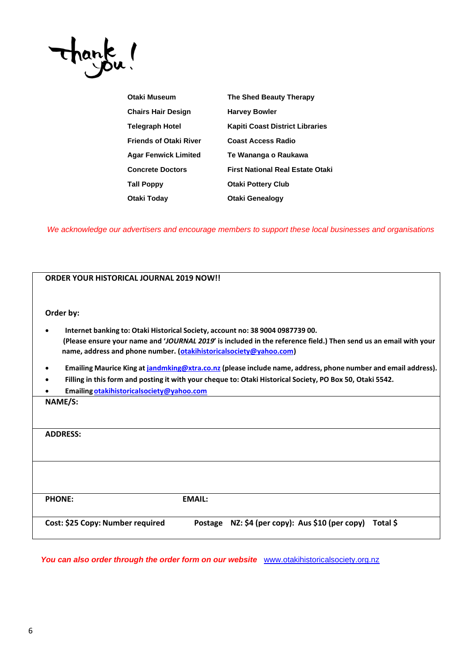

| Otaki Museum                  | The Shed Beauty Therapy                 |  |  |
|-------------------------------|-----------------------------------------|--|--|
| Chairs Hair Design            | <b>Harvey Bowler</b>                    |  |  |
| Telegraph Hotel               | <b>Kapiti Coast District Libraries</b>  |  |  |
| <b>Friends of Otaki River</b> | <b>Coast Access Radio</b>               |  |  |
| Agar Fenwick Limited          | Te Wananga o Raukawa                    |  |  |
| <b>Concrete Doctors</b>       | <b>First National Real Estate Otaki</b> |  |  |
| Tall Poppy                    | <b>Otaki Pottery Club</b>               |  |  |
| Otaki Today                   | <b>Otaki Genealogy</b>                  |  |  |
|                               |                                         |  |  |

*We acknowledge our advertisers and encourage members to support these local businesses and organisations*

| <b>ORDER YOUR HISTORICAL JOURNAL 2019 NOW!!</b>                                                                                                                                                                                                                          |                                                                                                           |                                                            |  |  |  |  |
|--------------------------------------------------------------------------------------------------------------------------------------------------------------------------------------------------------------------------------------------------------------------------|-----------------------------------------------------------------------------------------------------------|------------------------------------------------------------|--|--|--|--|
| Order by:                                                                                                                                                                                                                                                                |                                                                                                           |                                                            |  |  |  |  |
| Internet banking to: Otaki Historical Society, account no: 38 9004 0987739 00.<br>(Please ensure your name and 'JOURNAL 2019' is included in the reference field.) Then send us an email with your<br>name, address and phone number. (otakihistoricalsociety@yahoo.com) |                                                                                                           |                                                            |  |  |  |  |
| Emailing Maurice King at jandmking@xtra.co.nz (please include name, address, phone number and email address).                                                                                                                                                            |                                                                                                           |                                                            |  |  |  |  |
|                                                                                                                                                                                                                                                                          | Filling in this form and posting it with your cheque to: Otaki Historical Society, PO Box 50, Otaki 5542. |                                                            |  |  |  |  |
|                                                                                                                                                                                                                                                                          | Emailing otakihistoricalsociety@yahoo.com                                                                 |                                                            |  |  |  |  |
| NAME/S:                                                                                                                                                                                                                                                                  |                                                                                                           |                                                            |  |  |  |  |
| <b>ADDRESS:</b>                                                                                                                                                                                                                                                          |                                                                                                           |                                                            |  |  |  |  |
|                                                                                                                                                                                                                                                                          |                                                                                                           |                                                            |  |  |  |  |
| <b>PHONE:</b>                                                                                                                                                                                                                                                            | <b>EMAIL:</b>                                                                                             |                                                            |  |  |  |  |
| Cost: \$25 Copy: Number required                                                                                                                                                                                                                                         |                                                                                                           | Postage NZ: \$4 (per copy): Aus \$10 (per copy)<br>Total S |  |  |  |  |

You can also order through the order form on our website **[www.otakihistoricalsociety.org.nz](http://www.otakihistoricalsociety.org.nz/)**